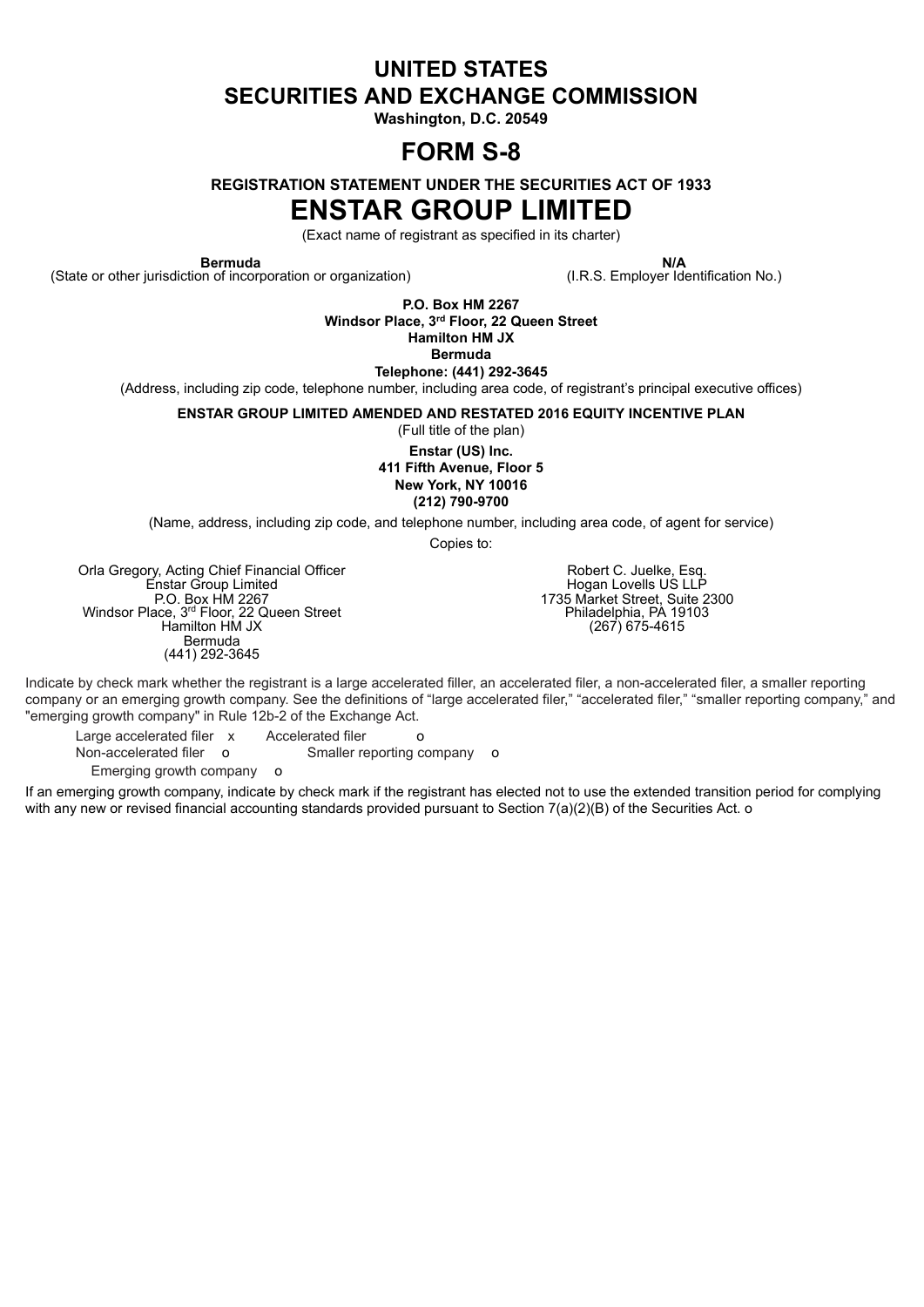# **UNITED STATES SECURITIES AND EXCHANGE COMMISSION**

**Washington, D.C. 20549**

# **FORM S-8**

**REGISTRATION STATEMENT UNDER THE SECURITIES ACT OF 1933**

# **ENSTAR GROUP LIMITED**

(Exact name of registrant as specified in its charter)

**Bermuda**

(State or other jurisdiction of incorporation or organization)

**N/A**

(I.R.S. Employer Identification No.)

**P.O. Box HM 2267 Windsor Place, 3<sup>rd</sup> Floor, 22 Queen Street Hamilton HM JX**

**Bermuda**

**Telephone: (441) 292-3645**

(Address, including zip code, telephone number, including area code, of registrant's principal executive offices)

**ENSTAR GROUP LIMITED AMENDED AND RESTATED 2016 EQUITY INCENTIVE PLAN**

(Full title of the plan)

**Enstar (US) Inc. 411 Fifth Avenue, Floor 5 New York, NY 10016 (212) 790-9700**

(Name, address, including zip code, and telephone number, including area code, of agent for service)

Copies to:

Orla Gregory, Acting Chief Financial Officer Enstar Group Limited P.O. Box HM 2267 Windsor Place, 3<sup>rd</sup> Floor, 22 Queen Street Hamilton HM JX Bermuda (441) 292-3645

Robert C. Juelke, Esq. Hogan Lovells US LLP 1735 Market Street, Suite 2300 Philadelphia, PA 19103 (267) 675-4615

Indicate by check mark whether the registrant is a large accelerated filler, an accelerated filer, a non-accelerated filer, a smaller reporting company or an emerging growth company. See the definitions of "large accelerated filer," "accelerated filer," "smaller reporting company," and "emerging growth company" in Rule 12b-2 of the Exchange Act.

Large accelerated filer x Accelerated filer o Non-accelerated filer o Smaller reporting company o Emerging growth company o

If an emerging growth company, indicate by check mark if the registrant has elected not to use the extended transition period for complying with any new or revised financial accounting standards provided pursuant to Section 7(a)(2)(B) of the Securities Act. o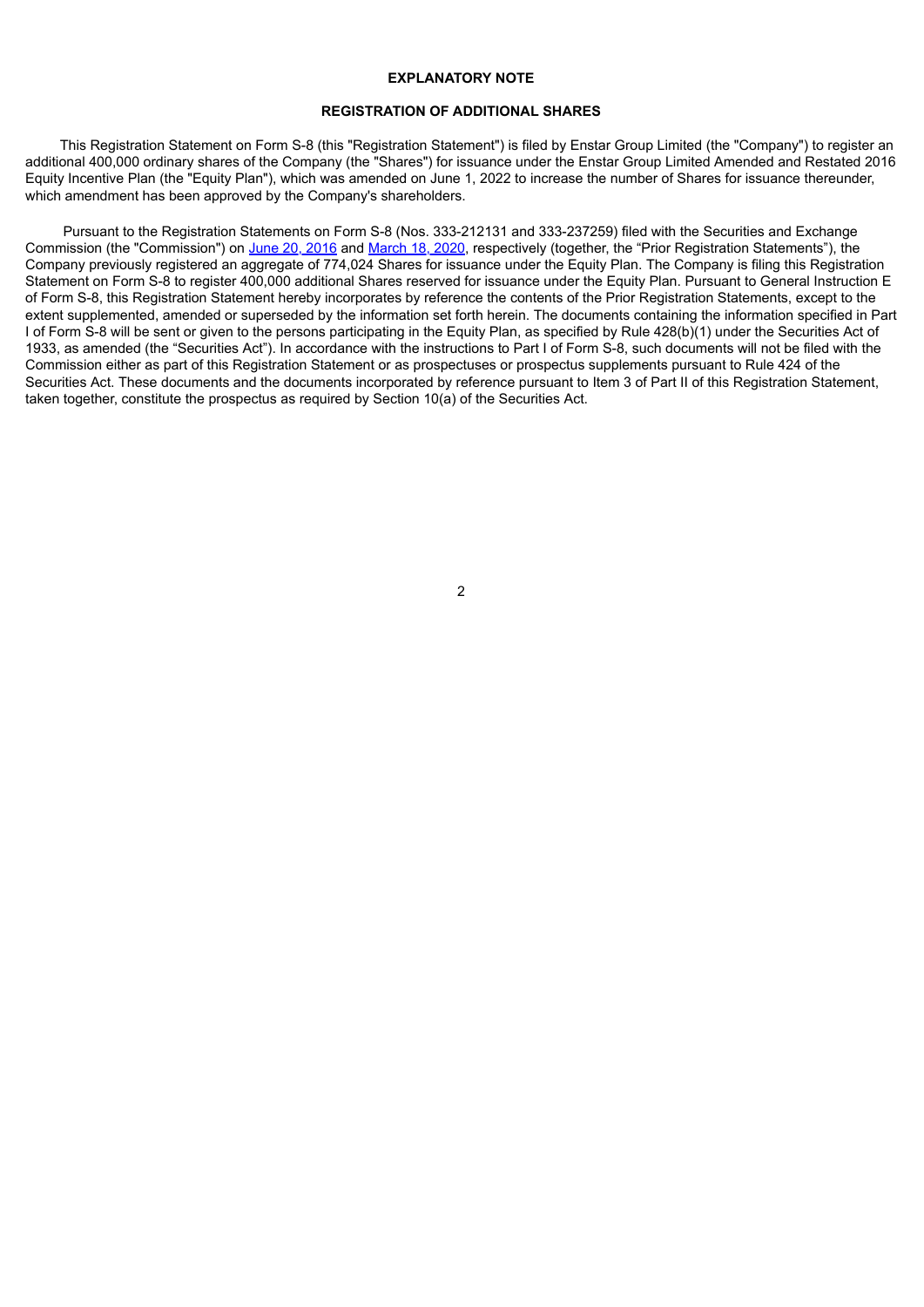## **EXPLANATORY NOTE**

# **REGISTRATION OF ADDITIONAL SHARES**

This Registration Statement on Form S-8 (this "Registration Statement") is filed by Enstar Group Limited (the "Company") to register an additional 400,000 ordinary shares of the Company (the "Shares") for issuance under the Enstar Group Limited Amended and Restated 2016 Equity Incentive Plan (the "Equity Plan"), which was amended on June 1, 2022 to increase the number of Shares for issuance thereunder, which amendment has been approved by the Company's shareholders.

Pursuant to the Registration Statements on Form S-8 (Nos. 333-212131 and 333-237259) filed with the Securities and Exchange Commission (the "Commission") on June 20, [2016](https://www.sec.gov/Archives/edgar/data/0001363829/000136382916000014/s-8.htm) and [March](https://www.sec.gov/Archives/edgar/data/0001363829/000136382920000065/s-8aandr2016eip.htm) 18, 2020, respectively (together, the "Prior Registration Statements"), the Company previously registered an aggregate of 774,024 Shares for issuance under the Equity Plan. The Company is filing this Registration Statement on Form S-8 to register 400,000 additional Shares reserved for issuance under the Equity Plan. Pursuant to General Instruction E of Form S-8, this Registration Statement hereby incorporates by reference the contents of the Prior Registration Statements, except to the extent supplemented, amended or superseded by the information set forth herein. The documents containing the information specified in Part I of Form S-8 will be sent or given to the persons participating in the Equity Plan, as specified by Rule 428(b)(1) under the Securities Act of 1933, as amended (the "Securities Act"). In accordance with the instructions to Part I of Form S-8, such documents will not be filed with the Commission either as part of this Registration Statement or as prospectuses or prospectus supplements pursuant to Rule 424 of the Securities Act. These documents and the documents incorporated by reference pursuant to Item 3 of Part II of this Registration Statement, taken together, constitute the prospectus as required by Section 10(a) of the Securities Act.

2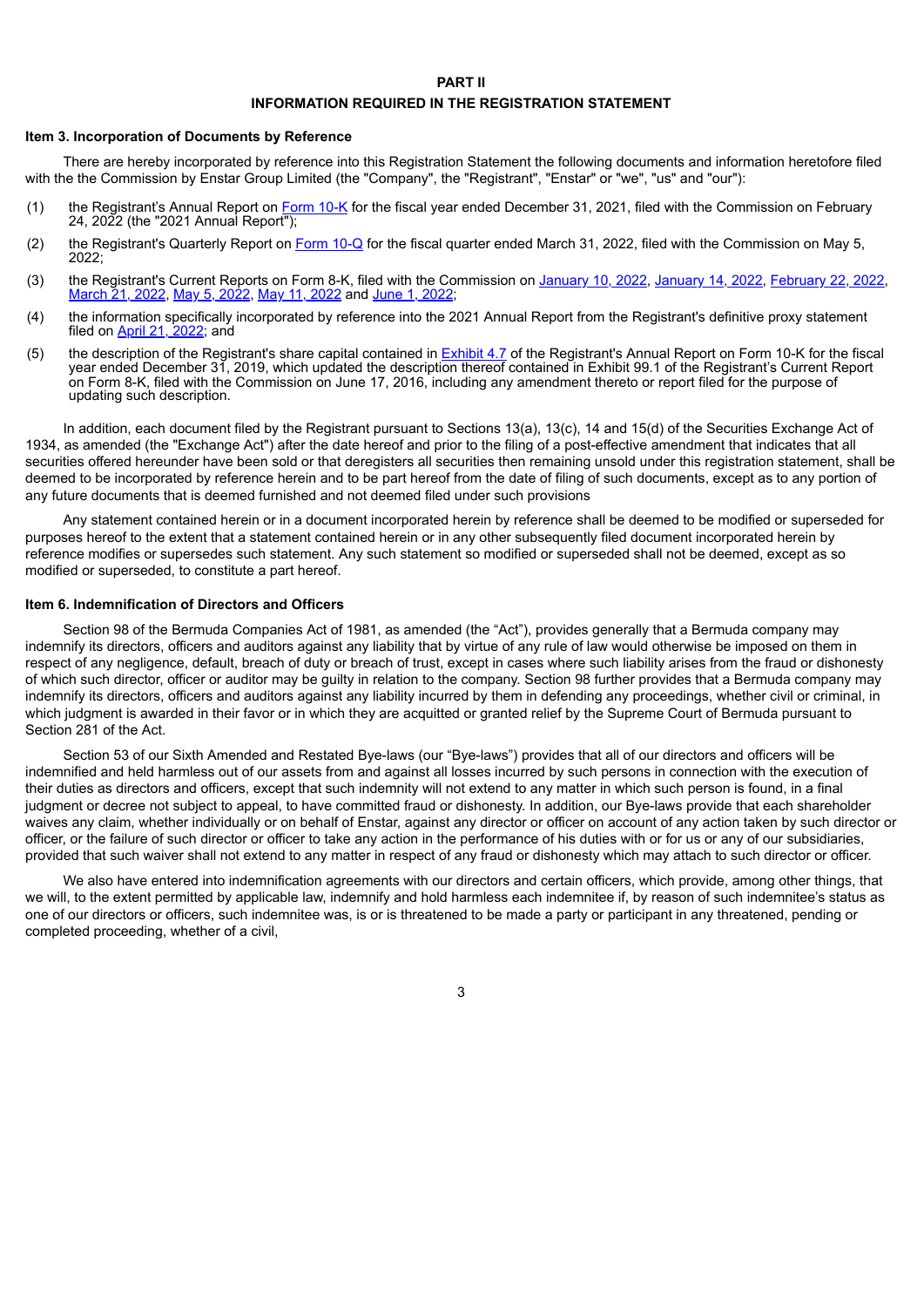#### **PART II**

# **INFORMATION REQUIRED IN THE REGISTRATION STATEMENT**

#### **Item 3. Incorporation of Documents by Reference**

There are hereby incorporated by reference into this Registration Statement the following documents and information heretofore filed with the the Commission by Enstar Group Limited (the "Company", the "Registrant", "Enstar" or "we", "us" and "our"):

- (1) the Registrant's Annual Report on [Form](https://www.sec.gov/ix?doc=/Archives/edgar/data/1363829/000136382922000045/esgr-20211231.htm) 10-K for the fiscal year ended December 31, 2021, filed with the Commission on February 24, 2022 (the "2021 Annual Report");
- (2) the Registrant's Quarterly Report on [Form](https://www.sec.gov/ix?doc=/Archives/edgar/data/1363829/000136382922000113/esgr-20220331.htm) 10-Q for the fiscal quarter ended March 31, 2022, filed with the Commission on May 5,  $2022$
- (3) the Registrant's Current Reports on Form 8-K, filed with the Commission on [January](https://www.sec.gov/ix?doc=/Archives/edgar/data/0001363829/000136382922000028/esgr-20220114.htm) 10, 20[22](https://www.sec.gov/ix?doc=/Archives/edgar/data/0001363829/000136382922000041/esgr-20220217.htm), January 14, 2022, [February](https://www.sec.gov/ix?doc=/Archives/edgar/data/0001363829/000136382922000041/esgr-20220217.htm) 22, [2022](https://www.sec.gov/ix?doc=/Archives/edgar/data/0001363829/000136382922000041/esgr-20220217.htm), [March](https://www.sec.gov/ix?doc=/Archives/edgar/data/0001363829/000136382922000059/esgr-20220315.htm) [21,](https://www.sec.gov/ix?doc=/Archives/edgar/data/0001363829/000136382922000059/esgr-20220315.htm) [2022,](https://www.sec.gov/ix?doc=/Archives/edgar/data/0001363829/000136382922000059/esgr-20220315.htm) May 5, [2022,](https://www.sec.gov/ix?doc=/Archives/edgar/data/0001363829/000136382922000114/esgr-20220505.htm) May 11, [2022](https://www.sec.gov/ix?doc=/Archives/edgar/data/0001363829/000136382922000121/esgr-20220509.htm) and [June](https://www.sec.gov/ix?doc=/Archives/edgar/data/1363829/000136382922000138/esgr-20220601.htm) 1, [2022](https://www.sec.gov/ix?doc=/Archives/edgar/data/1363829/000136382922000138/esgr-20220601.htm);
- (4) the information specifically incorporated by reference into the 2021 Annual Report from the Registrant's definitive proxy statement filed on April 21, [2022](https://www.sec.gov/Archives/edgar/data/1363829/000136382922000103/esgr-202261xdef14a.htm); and
- (5) the description of the Registrant's share capital contained in **[Exhibit](https://www.sec.gov/Archives/edgar/data/1363829/000136382920000039/a2019q4-exx47descripti.htm) 4.7** of the Registrant's Annual Report on Form 10-K for the fiscal year ended December 31, 2019, which updated the description thereof contained in Exhibit 99.1 of the Registrant's Current Report on Form 8-K, filed with the Commission on June 17, 2016, including any amendment thereto or report filed for the purpose of updating such description.

In addition, each document filed by the Registrant pursuant to Sections 13(a), 13(c), 14 and 15(d) of the Securities Exchange Act of 1934, as amended (the "Exchange Act") after the date hereof and prior to the filing of a post-effective amendment that indicates that all securities offered hereunder have been sold or that deregisters all securities then remaining unsold under this registration statement, shall be deemed to be incorporated by reference herein and to be part hereof from the date of filing of such documents, except as to any portion of any future documents that is deemed furnished and not deemed filed under such provisions

Any statement contained herein or in a document incorporated herein by reference shall be deemed to be modified or superseded for purposes hereof to the extent that a statement contained herein or in any other subsequently filed document incorporated herein by reference modifies or supersedes such statement. Any such statement so modified or superseded shall not be deemed, except as so modified or superseded, to constitute a part hereof.

## **Item 6. Indemnification of Directors and Officers**

Section 98 of the Bermuda Companies Act of 1981, as amended (the "Act"), provides generally that a Bermuda company may indemnify its directors, officers and auditors against any liability that by virtue of any rule of law would otherwise be imposed on them in respect of any negligence, default, breach of duty or breach of trust, except in cases where such liability arises from the fraud or dishonesty of which such director, officer or auditor may be guilty in relation to the company. Section 98 further provides that a Bermuda company may indemnify its directors, officers and auditors against any liability incurred by them in defending any proceedings, whether civil or criminal, in which judgment is awarded in their favor or in which they are acquitted or granted relief by the Supreme Court of Bermuda pursuant to Section 281 of the Act.

Section 53 of our Sixth Amended and Restated Bye-laws (our "Bye-laws") provides that all of our directors and officers will be indemnified and held harmless out of our assets from and against all losses incurred by such persons in connection with the execution of their duties as directors and officers, except that such indemnity will not extend to any matter in which such person is found, in a final judgment or decree not subject to appeal, to have committed fraud or dishonesty. In addition, our Bye-laws provide that each shareholder waives any claim, whether individually or on behalf of Enstar, against any director or officer on account of any action taken by such director or officer, or the failure of such director or officer to take any action in the performance of his duties with or for us or any of our subsidiaries, provided that such waiver shall not extend to any matter in respect of any fraud or dishonesty which may attach to such director or officer.

We also have entered into indemnification agreements with our directors and certain officers, which provide, among other things, that we will, to the extent permitted by applicable law, indemnify and hold harmless each indemnitee if, by reason of such indemnitee's status as one of our directors or officers, such indemnitee was, is or is threatened to be made a party or participant in any threatened, pending or completed proceeding, whether of a civil,

3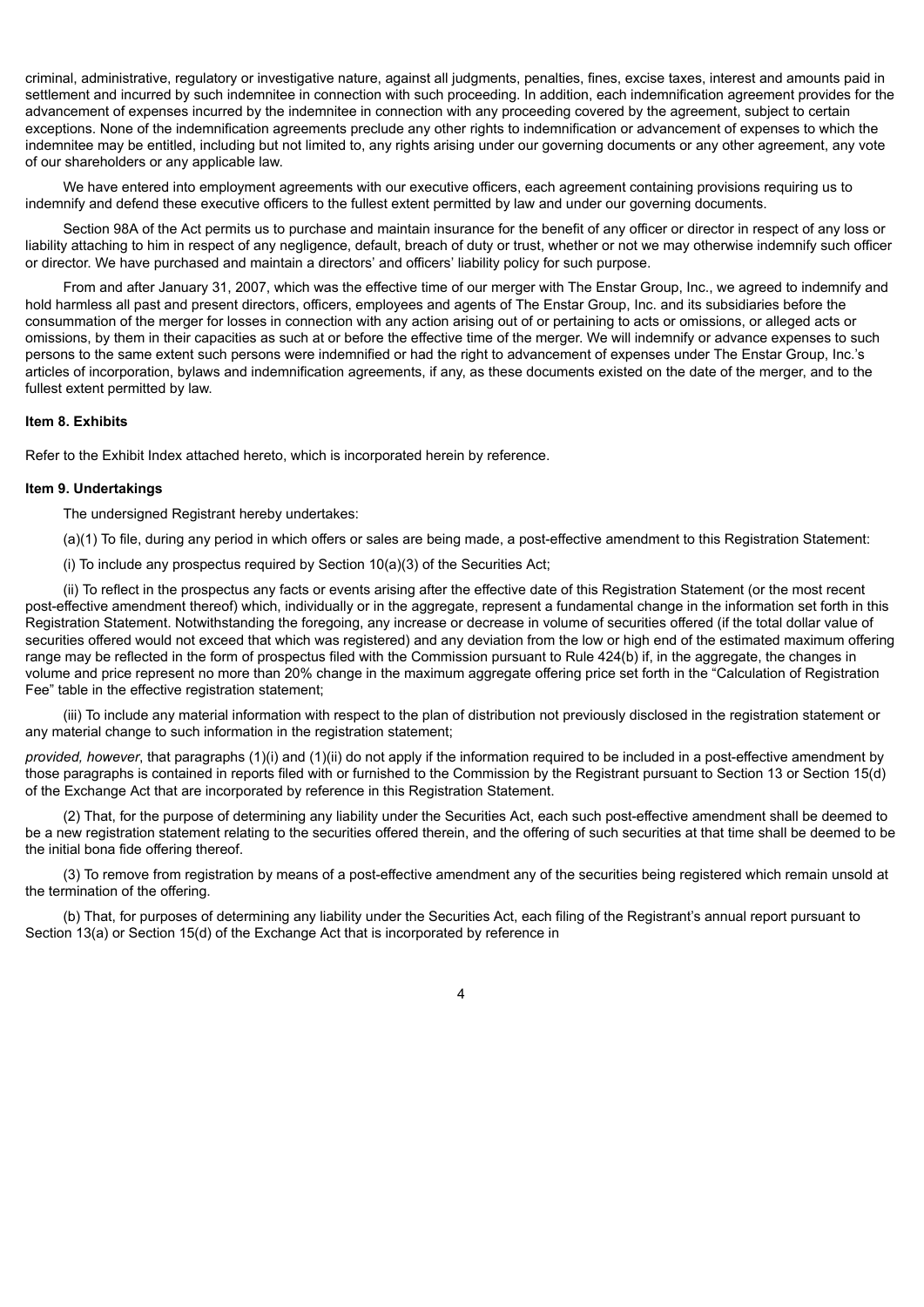criminal, administrative, regulatory or investigative nature, against all judgments, penalties, fines, excise taxes, interest and amounts paid in settlement and incurred by such indemnitee in connection with such proceeding. In addition, each indemnification agreement provides for the advancement of expenses incurred by the indemnitee in connection with any proceeding covered by the agreement, subject to certain exceptions. None of the indemnification agreements preclude any other rights to indemnification or advancement of expenses to which the indemnitee may be entitled, including but not limited to, any rights arising under our governing documents or any other agreement, any vote of our shareholders or any applicable law.

We have entered into employment agreements with our executive officers, each agreement containing provisions requiring us to indemnify and defend these executive officers to the fullest extent permitted by law and under our governing documents.

Section 98A of the Act permits us to purchase and maintain insurance for the benefit of any officer or director in respect of any loss or liability attaching to him in respect of any negligence, default, breach of duty or trust, whether or not we may otherwise indemnify such officer or director. We have purchased and maintain a directors' and officers' liability policy for such purpose.

From and after January 31, 2007, which was the effective time of our merger with The Enstar Group, Inc., we agreed to indemnify and hold harmless all past and present directors, officers, employees and agents of The Enstar Group, Inc. and its subsidiaries before the consummation of the merger for losses in connection with any action arising out of or pertaining to acts or omissions, or alleged acts or omissions, by them in their capacities as such at or before the effective time of the merger. We will indemnify or advance expenses to such persons to the same extent such persons were indemnified or had the right to advancement of expenses under The Enstar Group, Inc.'s articles of incorporation, bylaws and indemnification agreements, if any, as these documents existed on the date of the merger, and to the fullest extent permitted by law.

#### **Item 8. Exhibits**

Refer to the Exhibit Index attached hereto, which is incorporated herein by reference.

#### **Item 9. Undertakings**

The undersigned Registrant hereby undertakes:

(a)(1) To file, during any period in which offers or sales are being made, a post-effective amendment to this Registration Statement:

(i) To include any prospectus required by Section 10(a)(3) of the Securities Act;

(ii) To reflect in the prospectus any facts or events arising after the effective date of this Registration Statement (or the most recent post-effective amendment thereof) which, individually or in the aggregate, represent a fundamental change in the information set forth in this Registration Statement. Notwithstanding the foregoing, any increase or decrease in volume of securities offered (if the total dollar value of securities offered would not exceed that which was registered) and any deviation from the low or high end of the estimated maximum offering range may be reflected in the form of prospectus filed with the Commission pursuant to Rule 424(b) if, in the aggregate, the changes in volume and price represent no more than 20% change in the maximum aggregate offering price set forth in the "Calculation of Registration Fee" table in the effective registration statement;

(iii) To include any material information with respect to the plan of distribution not previously disclosed in the registration statement or any material change to such information in the registration statement:

*provided, however*, that paragraphs (1)(i) and (1)(ii) do not apply if the information required to be included in a post-effective amendment by those paragraphs is contained in reports filed with or furnished to the Commission by the Registrant pursuant to Section 13 or Section 15(d) of the Exchange Act that are incorporated by reference in this Registration Statement.

(2) That, for the purpose of determining any liability under the Securities Act, each such post-effective amendment shall be deemed to be a new registration statement relating to the securities offered therein, and the offering of such securities at that time shall be deemed to be the initial bona fide offering thereof.

(3) To remove from registration by means of a post-effective amendment any of the securities being registered which remain unsold at the termination of the offering.

(b) That, for purposes of determining any liability under the Securities Act, each filing of the Registrant's annual report pursuant to Section 13(a) or Section 15(d) of the Exchange Act that is incorporated by reference in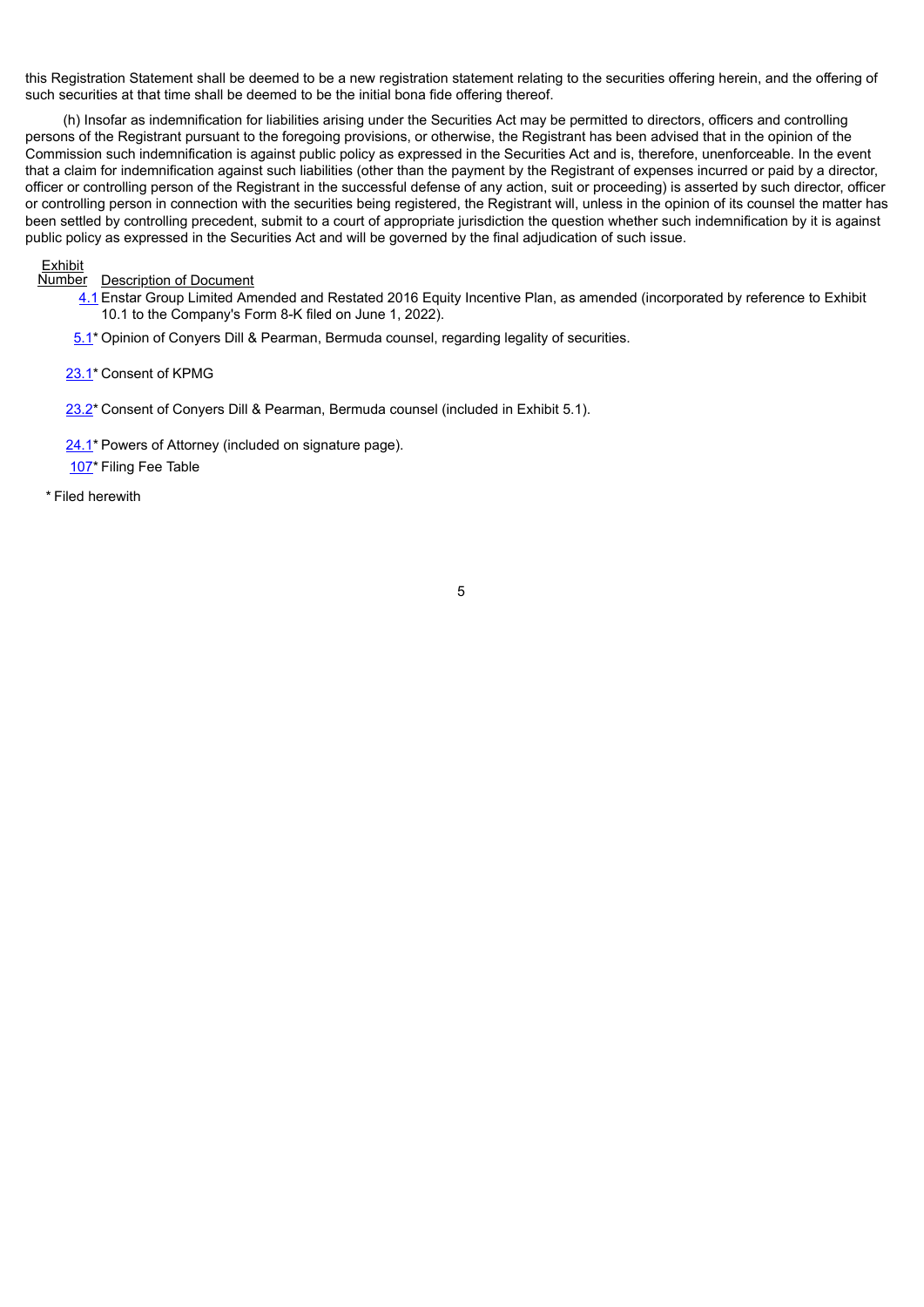this Registration Statement shall be deemed to be a new registration statement relating to the securities offering herein, and the offering of such securities at that time shall be deemed to be the initial bona fide offering thereof.

(h) Insofar as indemnification for liabilities arising under the Securities Act may be permitted to directors, officers and controlling persons of the Registrant pursuant to the foregoing provisions, or otherwise, the Registrant has been advised that in the opinion of the Commission such indemnification is against public policy as expressed in the Securities Act and is, therefore, unenforceable. In the event that a claim for indemnification against such liabilities (other than the payment by the Registrant of expenses incurred or paid by a director, officer or controlling person of the Registrant in the successful defense of any action, suit or proceeding) is asserted by such director, officer or controlling person in connection with the securities being registered, the Registrant will, unless in the opinion of its counsel the matter has been settled by controlling precedent, submit to a court of appropriate jurisdiction the question whether such indemnification by it is against public policy as expressed in the Securities Act and will be governed by the final adjudication of such issue.

#### Exhibit

Number Description of Document

- [4.1](https://www.sec.gov/Archives/edgar/data/1363829/000136382922000138/exhibit101-2016equityplana.htm) Enstar Group Limited Amended and Restated 2016 Equity Incentive Plan, as amended (incorporated by reference to Exhibit 10.1 to the Company's Form 8-K filed on June 1, 2022).
- [5.1\\*](#page-9-0) Opinion of Conyers Dill & Pearman, Bermuda counsel, regarding legality of securities.

[23.1\\*](#page-11-0) Consent of KPMG

- [23.2\\*](#page-9-0) Consent of Conyers Dill & Pearman, Bermuda counsel (included in Exhibit 5.1).
- [24.1\\*](#page-4-0) Powers of Attorney (included on signature page).
- [107\\*](#page-8-0) Filing Fee Table

<span id="page-4-0"></span>\* Filed herewith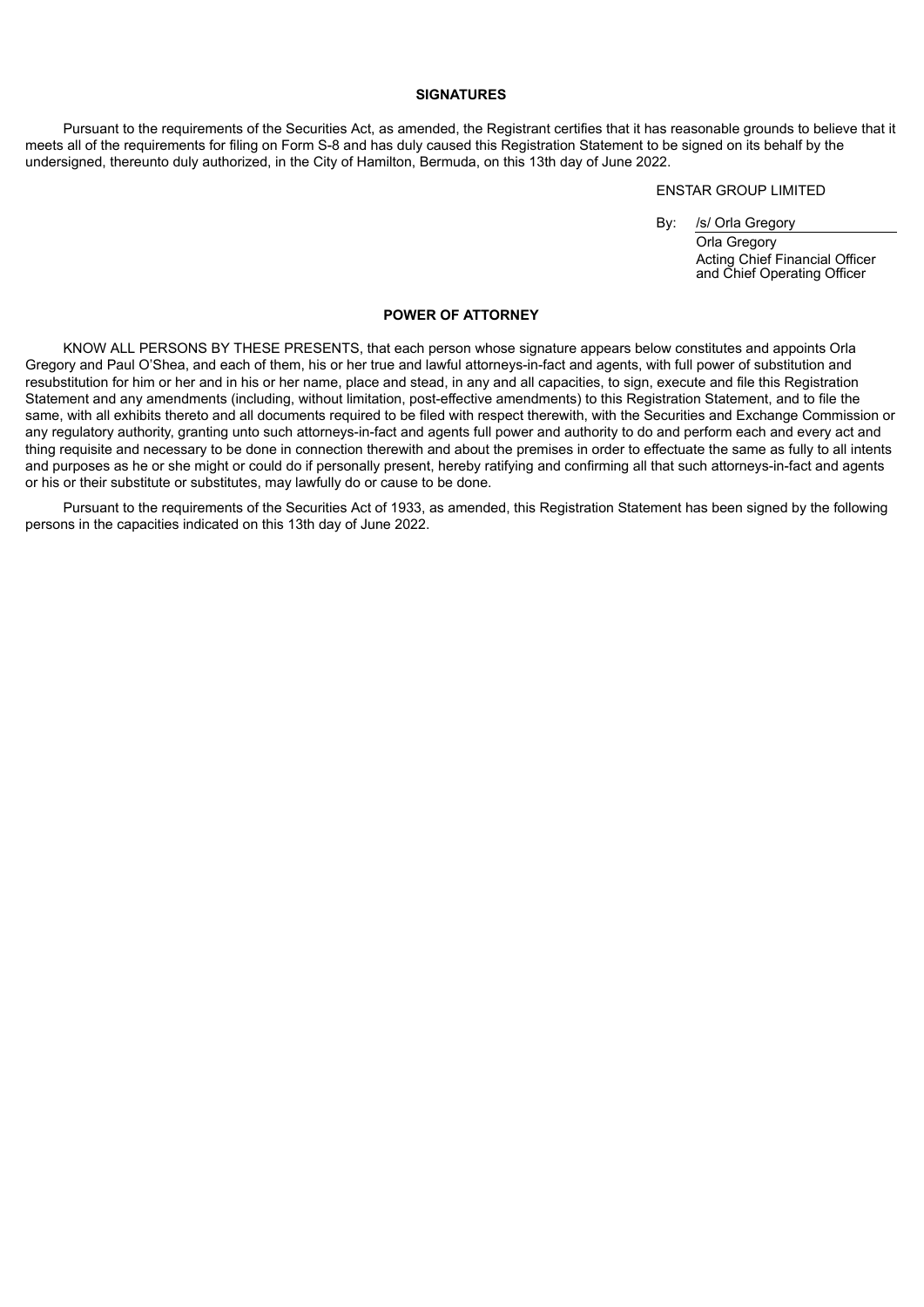## **SIGNATURES**

Pursuant to the requirements of the Securities Act, as amended, the Registrant certifies that it has reasonable grounds to believe that it meets all of the requirements for filing on Form S-8 and has duly caused this Registration Statement to be signed on its behalf by the undersigned, thereunto duly authorized, in the City of Hamilton, Bermuda, on this 13th day of June 2022.

#### ENSTAR GROUP LIMITED

By: /s/ Orla Gregory

Orla Gregory Acting Chief Financial Officer and Chief Operating Officer

# **POWER OF ATTORNEY**

KNOW ALL PERSONS BY THESE PRESENTS, that each person whose signature appears below constitutes and appoints Orla Gregory and Paul O'Shea, and each of them, his or her true and lawful attorneys-in-fact and agents, with full power of substitution and resubstitution for him or her and in his or her name, place and stead, in any and all capacities, to sign, execute and file this Registration Statement and any amendments (including, without limitation, post-effective amendments) to this Registration Statement, and to file the same, with all exhibits thereto and all documents required to be filed with respect therewith, with the Securities and Exchange Commission or any regulatory authority, granting unto such attorneys-in-fact and agents full power and authority to do and perform each and every act and thing requisite and necessary to be done in connection therewith and about the premises in order to effectuate the same as fully to all intents and purposes as he or she might or could do if personally present, hereby ratifying and confirming all that such attorneys-in-fact and agents or his or their substitute or substitutes, may lawfully do or cause to be done.

Pursuant to the requirements of the Securities Act of 1933, as amended, this Registration Statement has been signed by the following persons in the capacities indicated on this 13th day of June 2022.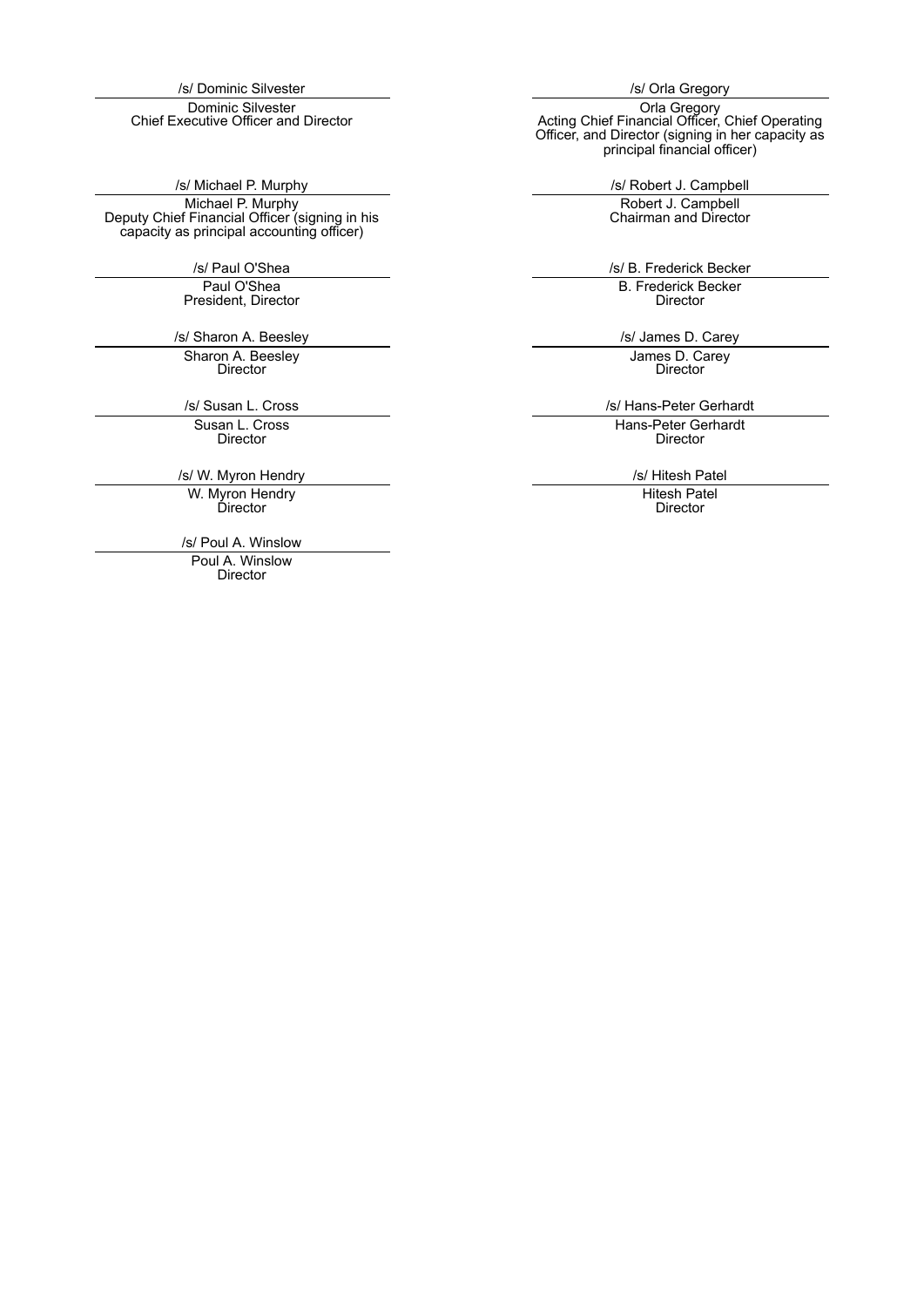# /s/ Dominic Silvester /s/ Orla Gregory

#### Dominic Silvester Chief Executive Officer and Director

Michael P. Murphy Deputy Chief Financial Officer (signing in his capacity as principal accounting officer)

Paul O'Shea President, Director

/s/ Sharon A. Beesley /s/ James D. Carey Sharon A. Beesley Director

Susan L. Cross **Director** 

/s/ W. Myron Hendry **by a strategier of the strategier of the strategier of the strategier of the strategier of the strategier of the strategier of the strategier of the strategier of the strategier of the strategier of th** 

W. Myron Hendry Director

/s/ Poul A. Winslow

Poul A. Winslow **Director** 

Orla Gregory Acting Chief Financial Officer, Chief Operating Officer, and Director (signing in her capacity as principal financial officer)

/s/ Michael P. Murphy /s/ Robert J. Campbell

Robert J. Campbell Chairman and Director

# /s/ Paul O'Shea /s/ B. Frederick Becker

B. Frederick Becker **Director** 

James D. Carey

Director

/s/ Susan L. Cross /s/ Susan L. Cross /s/ Hans-Peter Gerhardt Hans-Peter Gerhardt

**Director** 

Hitesh Patel Director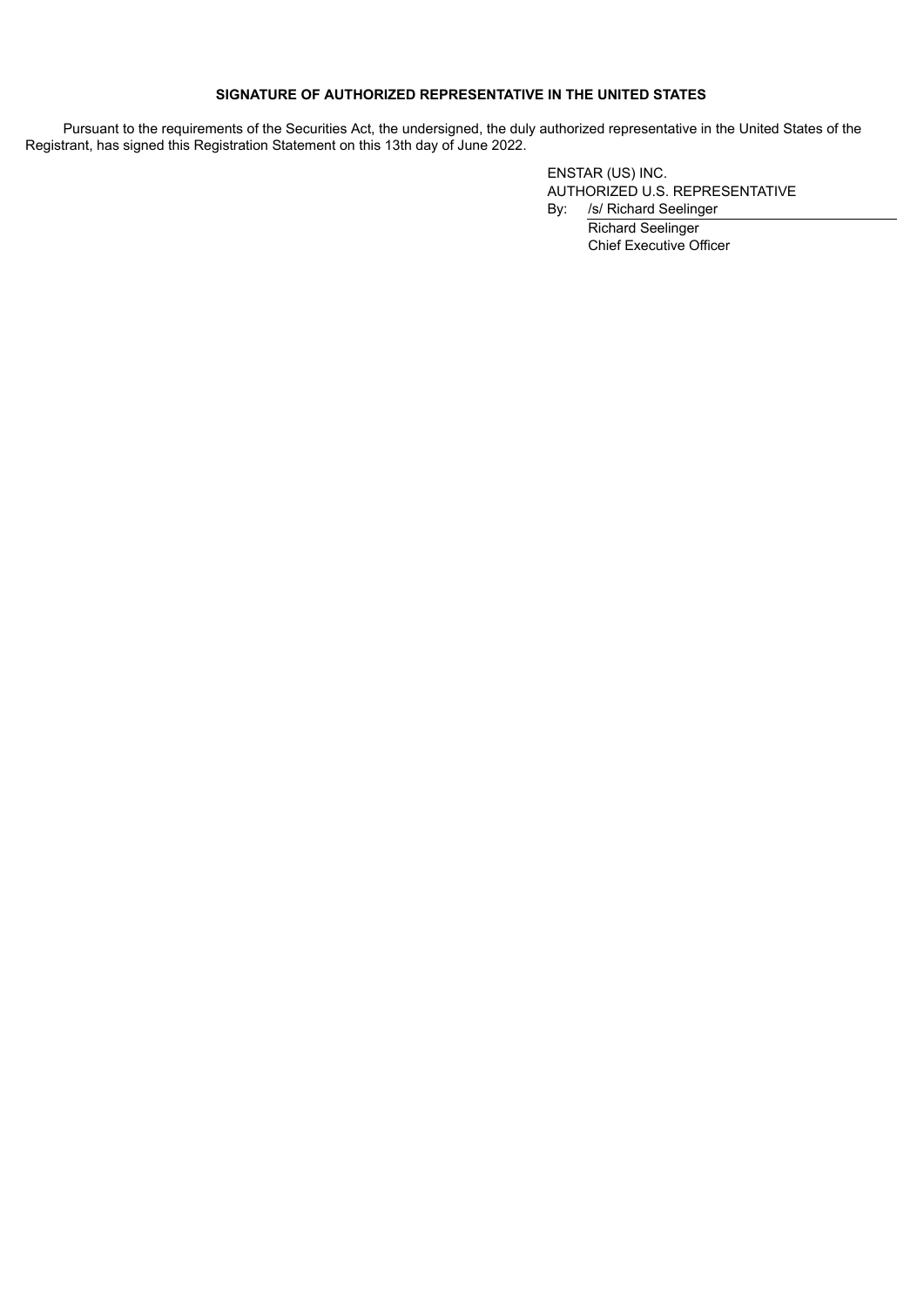# **SIGNATURE OF AUTHORIZED REPRESENTATIVE IN THE UNITED STATES**

Pursuant to the requirements of the Securities Act, the undersigned, the duly authorized representative in the United States of the Registrant, has signed this Registration Statement on this 13th day of June 2022.

> ENSTAR (US) INC. AUTHORIZED U.S. REPRESENTATIVE By: /s/ Richard Seelinger Richard Seelinger Chief Executive Officer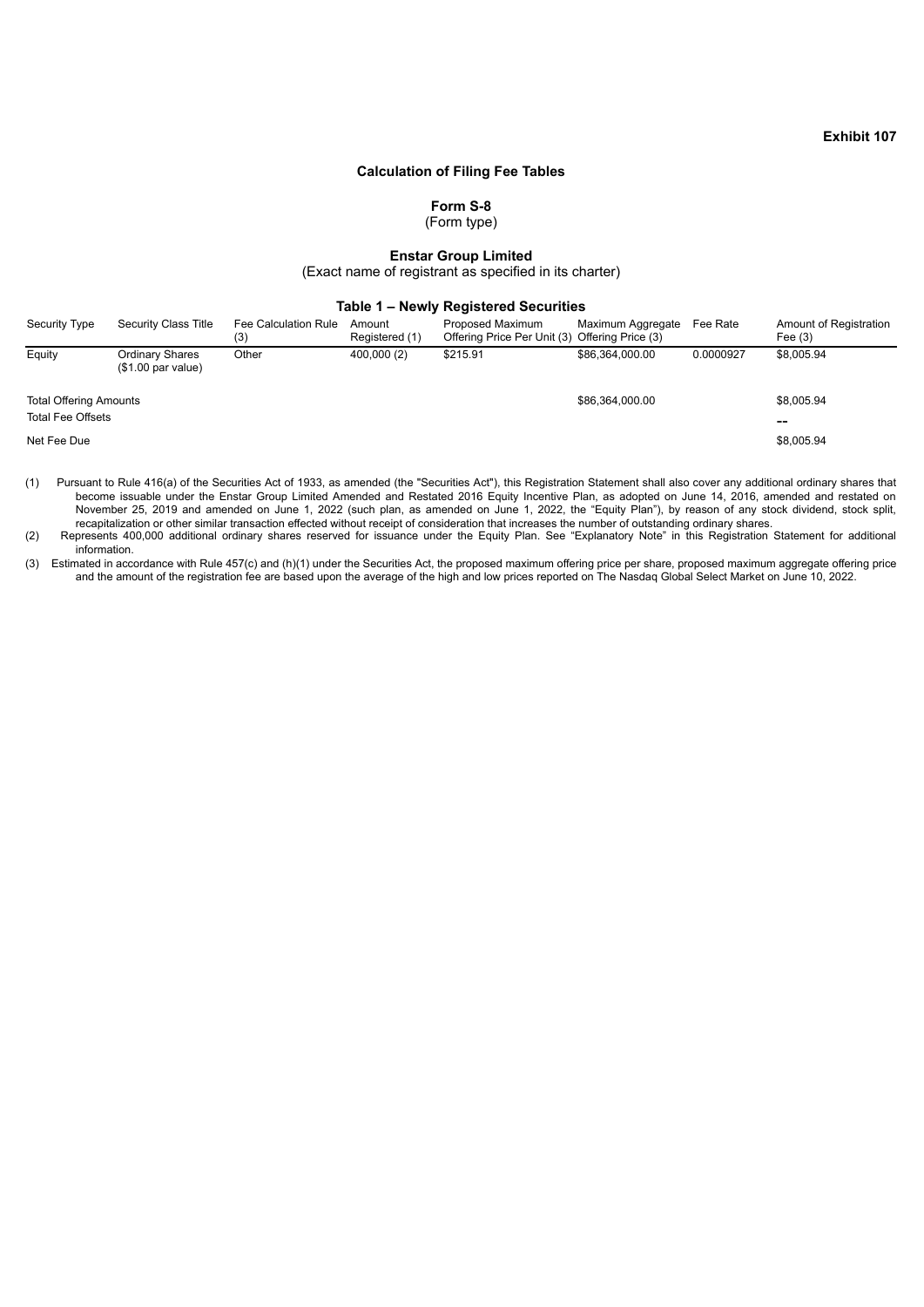**Exhibit 107**

# **Calculation of Filing Fee Tables**

# **Form S-8**

(Form type)

#### **Enstar Group Limited**

(Exact name of registrant as specified in its charter)

### **Table 1 – Newly Registered Securities**

<span id="page-8-0"></span>

| Security Type                                             | <b>Security Class Title</b>                  | Fee Calculation Rule<br>(3) | Amount<br>Registered (1) | Proposed Maximum<br>Offering Price Per Unit (3) Offering Price (3) | Maximum Aggregate | Fee Rate  | Amount of Registration<br>Fee $(3)$ |
|-----------------------------------------------------------|----------------------------------------------|-----------------------------|--------------------------|--------------------------------------------------------------------|-------------------|-----------|-------------------------------------|
| Equity                                                    | <b>Ordinary Shares</b><br>(\$1.00 par value) | Other                       | 400,000 (2)              | \$215.91                                                           | \$86,364,000.00   | 0.0000927 | \$8,005.94                          |
| <b>Total Offering Amounts</b><br><b>Total Fee Offsets</b> |                                              |                             |                          |                                                                    | \$86.364.000.00   |           | \$8,005.94<br>$- -$                 |
| Net Fee Due                                               |                                              |                             |                          |                                                                    |                   |           | \$8,005.94                          |

(1) Pursuant to Rule 416(a) of the Securities Act of 1933, as amended (the "Securities Act"), this Registration Statement shall also cover any additional ordinary shares that become issuable under the Enstar Group Limited Amended and Restated 2016 Equity Incentive Plan, as adopted on June 14, 2016, amended and restated on November 25, 2019 and amended on June 1, 2022 (such plan, as amended on June 1, 2022, the "Equity Plan"), by reason of any stock dividend, stock split, recapitalization or other similar transaction effected without receipt of consideration that increases the number of outstanding ordinary shares.

(2) Represents 400,000 additional ordinary shares reserved for issuance under the Equity Plan. See "Explanatory Note" in this Registration Statement for additional information.

(3) Estimated in accordance with Rule 457(c) and (h)(1) under the Securities Act, the proposed maximum offering price per share, proposed maximum aggregate offering price and the amount of the registration fee are based upon the average of the high and low prices reported on The Nasdaq Global Select Market on June 10, 2022.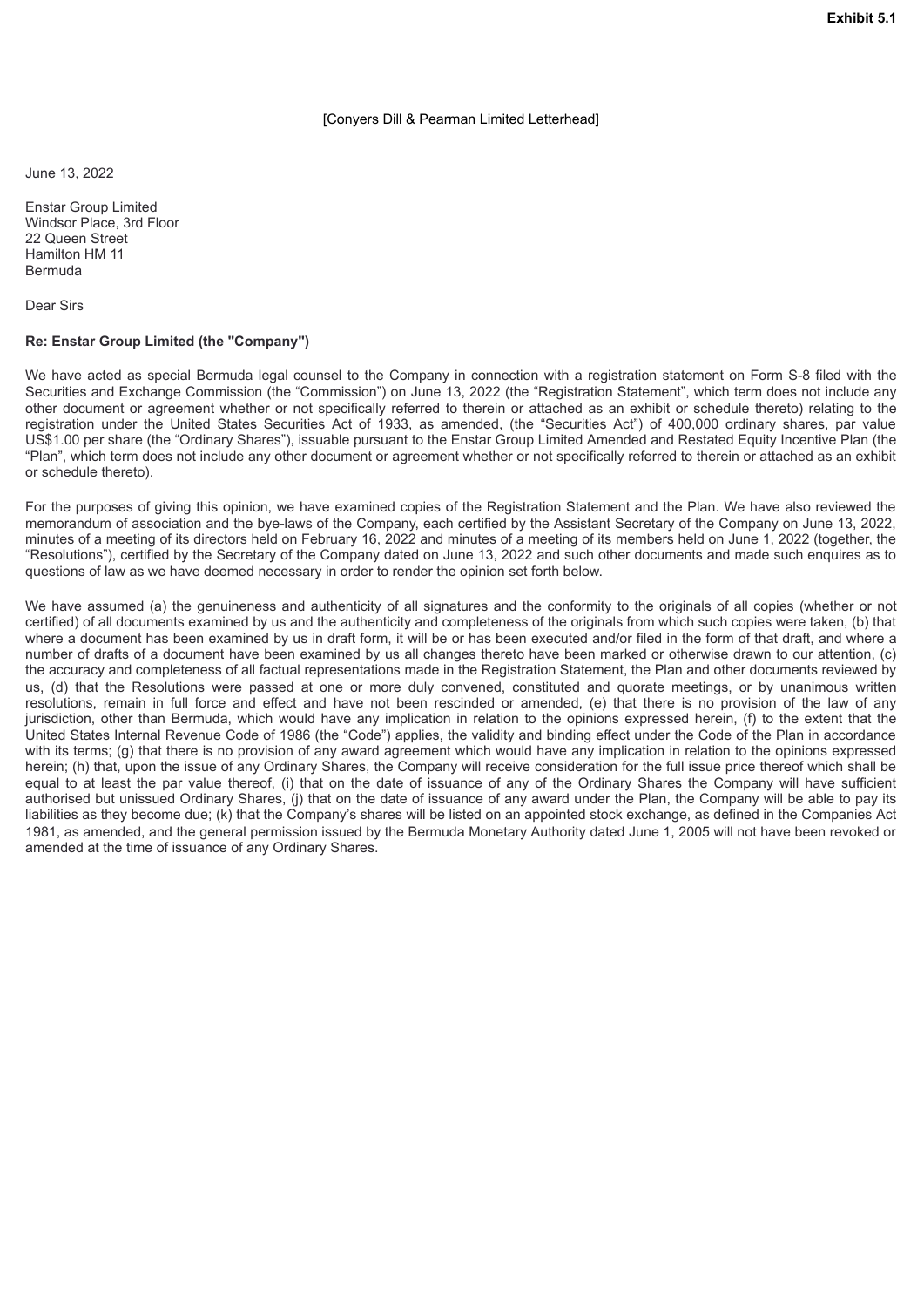#### [Conyers Dill & Pearman Limited Letterhead]

<span id="page-9-0"></span>June 13, 2022

Enstar Group Limited Windsor Place, 3rd Floor 22 Queen Street Hamilton HM 11 Bermuda

Dear Sirs

#### **Re: Enstar Group Limited (the "Company")**

We have acted as special Bermuda legal counsel to the Company in connection with a registration statement on Form S-8 filed with the Securities and Exchange Commission (the "Commission") on June 13, 2022 (the "Registration Statement", which term does not include any other document or agreement whether or not specifically referred to therein or attached as an exhibit or schedule thereto) relating to the registration under the United States Securities Act of 1933, as amended, (the "Securities Act") of 400,000 ordinary shares, par value US\$1.00 per share (the "Ordinary Shares"), issuable pursuant to the Enstar Group Limited Amended and Restated Equity Incentive Plan (the "Plan", which term does not include any other document or agreement whether or not specifically referred to therein or attached as an exhibit or schedule thereto).

For the purposes of giving this opinion, we have examined copies of the Registration Statement and the Plan. We have also reviewed the memorandum of association and the bye-laws of the Company, each certified by the Assistant Secretary of the Company on June 13, 2022, minutes of a meeting of its directors held on February 16, 2022 and minutes of a meeting of its members held on June 1, 2022 (together, the "Resolutions"), certified by the Secretary of the Company dated on June 13, 2022 and such other documents and made such enquires as to questions of law as we have deemed necessary in order to render the opinion set forth below.

We have assumed (a) the genuineness and authenticity of all signatures and the conformity to the originals of all copies (whether or not certified) of all documents examined by us and the authenticity and completeness of the originals from which such copies were taken, (b) that where a document has been examined by us in draft form, it will be or has been executed and/or filed in the form of that draft, and where a number of drafts of a document have been examined by us all changes thereto have been marked or otherwise drawn to our attention, (c) the accuracy and completeness of all factual representations made in the Registration Statement, the Plan and other documents reviewed by us, (d) that the Resolutions were passed at one or more duly convened, constituted and quorate meetings, or by unanimous written resolutions, remain in full force and effect and have not been rescinded or amended, (e) that there is no provision of the law of any jurisdiction, other than Bermuda, which would have any implication in relation to the opinions expressed herein, (f) to the extent that the United States Internal Revenue Code of 1986 (the "Code") applies, the validity and binding effect under the Code of the Plan in accordance with its terms; (g) that there is no provision of any award agreement which would have any implication in relation to the opinions expressed herein; (h) that, upon the issue of any Ordinary Shares, the Company will receive consideration for the full issue price thereof which shall be equal to at least the par value thereof, (i) that on the date of issuance of any of the Ordinary Shares the Company will have sufficient authorised but unissued Ordinary Shares, (j) that on the date of issuance of any award under the Plan, the Company will be able to pay its liabilities as they become due; (k) that the Company's shares will be listed on an appointed stock exchange, as defined in the Companies Act 1981, as amended, and the general permission issued by the Bermuda Monetary Authority dated June 1, 2005 will not have been revoked or amended at the time of issuance of any Ordinary Shares.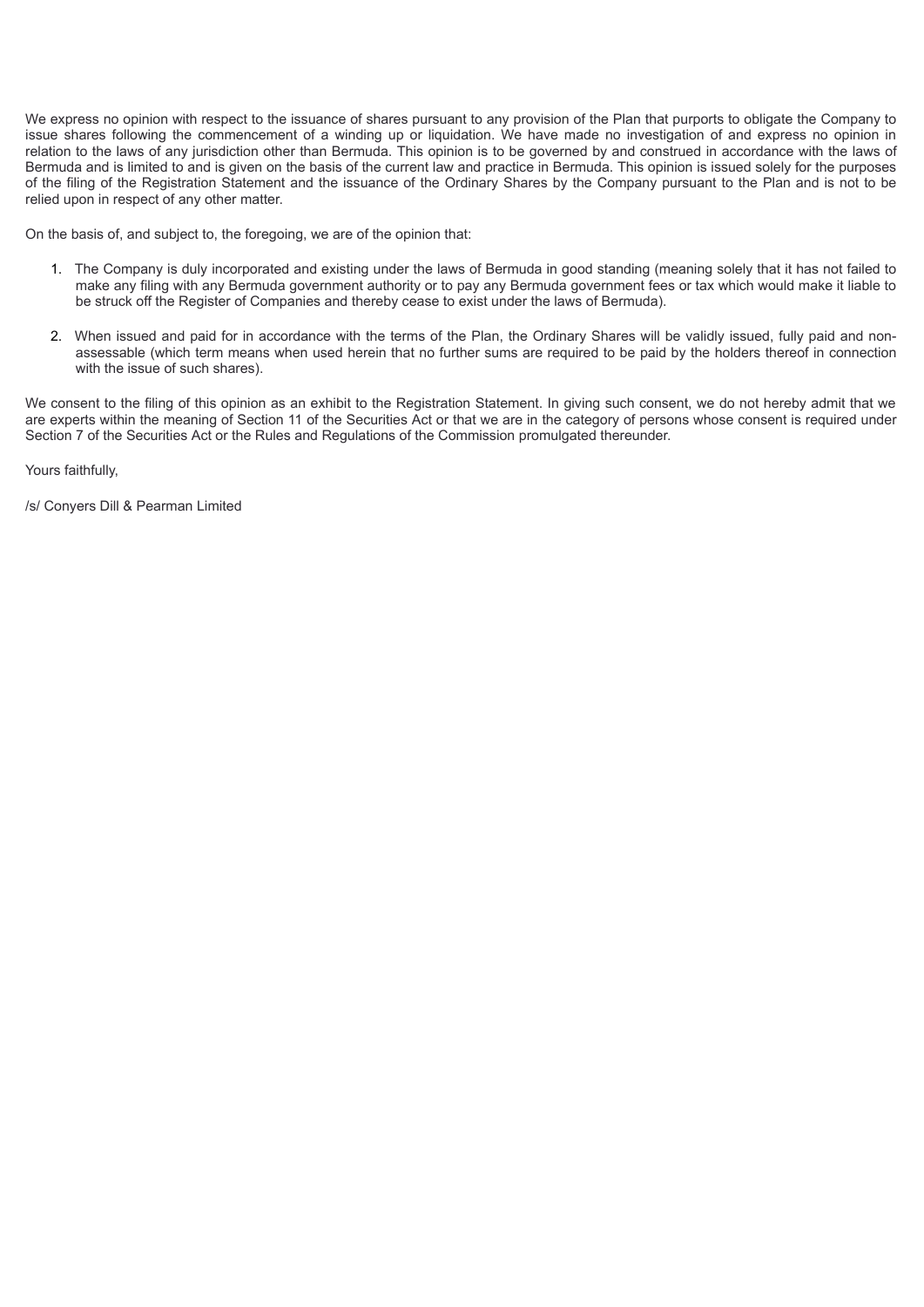We express no opinion with respect to the issuance of shares pursuant to any provision of the Plan that purports to obligate the Company to issue shares following the commencement of a winding up or liquidation. We have made no investigation of and express no opinion in relation to the laws of any jurisdiction other than Bermuda. This opinion is to be governed by and construed in accordance with the laws of Bermuda and is limited to and is given on the basis of the current law and practice in Bermuda. This opinion is issued solely for the purposes of the filing of the Registration Statement and the issuance of the Ordinary Shares by the Company pursuant to the Plan and is not to be relied upon in respect of any other matter.

On the basis of, and subject to, the foregoing, we are of the opinion that:

- 1. The Company is duly incorporated and existing under the laws of Bermuda in good standing (meaning solely that it has not failed to make any filing with any Bermuda government authority or to pay any Bermuda government fees or tax which would make it liable to be struck off the Register of Companies and thereby cease to exist under the laws of Bermuda).
- 2. When issued and paid for in accordance with the terms of the Plan, the Ordinary Shares will be validly issued, fully paid and nonassessable (which term means when used herein that no further sums are required to be paid by the holders thereof in connection with the issue of such shares).

We consent to the filing of this opinion as an exhibit to the Registration Statement. In giving such consent, we do not hereby admit that we are experts within the meaning of Section 11 of the Securities Act or that we are in the category of persons whose consent is required under Section 7 of the Securities Act or the Rules and Regulations of the Commission promulgated thereunder.

Yours faithfully,

/s/ Conyers Dill & Pearman Limited